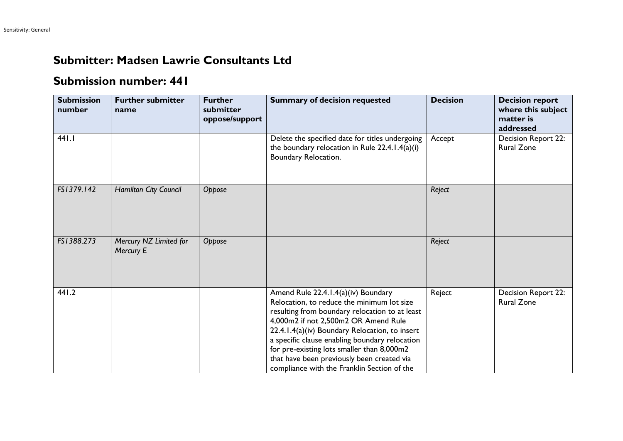## **Submitter: Madsen Lawrie Consultants Ltd**

## **Submission number: 441**

| <b>Submission</b><br>number | <b>Further submitter</b><br>name    | <b>Further</b><br>submitter<br>oppose/support | <b>Summary of decision requested</b>                                                                                                                                                                                                                                                                                                                                                                                       | <b>Decision</b> | <b>Decision report</b><br>where this subject<br>matter is<br>addressed |
|-----------------------------|-------------------------------------|-----------------------------------------------|----------------------------------------------------------------------------------------------------------------------------------------------------------------------------------------------------------------------------------------------------------------------------------------------------------------------------------------------------------------------------------------------------------------------------|-----------------|------------------------------------------------------------------------|
| 441.1                       |                                     |                                               | Delete the specified date for titles undergoing<br>the boundary relocation in Rule $22.4.1.4(a)(i)$<br>Boundary Relocation.                                                                                                                                                                                                                                                                                                | Accept          | Decision Report 22:<br><b>Rural Zone</b>                               |
| FS1379.142                  | Hamilton City Council               | Oppose                                        |                                                                                                                                                                                                                                                                                                                                                                                                                            | Reject          |                                                                        |
| FS1388.273                  | Mercury NZ Limited for<br>Mercury E | Oppose                                        |                                                                                                                                                                                                                                                                                                                                                                                                                            | Reject          |                                                                        |
| 441.2                       |                                     |                                               | Amend Rule 22.4.1.4(a)(iv) Boundary<br>Relocation, to reduce the minimum lot size<br>resulting from boundary relocation to at least<br>4,000m2 if not 2,500m2 OR Amend Rule<br>22.4.1.4(a)(iv) Boundary Relocation, to insert<br>a specific clause enabling boundary relocation<br>for pre-existing lots smaller than 8,000m2<br>that have been previously been created via<br>compliance with the Franklin Section of the | Reject          | Decision Report 22:<br><b>Rural Zone</b>                               |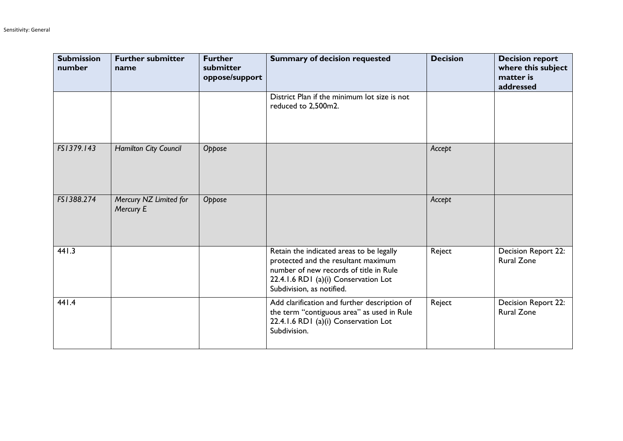| <b>Submission</b><br>number | <b>Further submitter</b><br>name    | <b>Further</b><br>submitter<br>oppose/support | <b>Summary of decision requested</b>                                                                                                                                                           | <b>Decision</b> | <b>Decision report</b><br>where this subject<br>matter is<br>addressed |
|-----------------------------|-------------------------------------|-----------------------------------------------|------------------------------------------------------------------------------------------------------------------------------------------------------------------------------------------------|-----------------|------------------------------------------------------------------------|
|                             |                                     |                                               | District Plan if the minimum lot size is not<br>reduced to 2,500m2.                                                                                                                            |                 |                                                                        |
| FS1379.143                  | Hamilton City Council               | Oppose                                        |                                                                                                                                                                                                | Accept          |                                                                        |
| FS1388.274                  | Mercury NZ Limited for<br>Mercury E | Oppose                                        |                                                                                                                                                                                                | Accept          |                                                                        |
| 441.3                       |                                     |                                               | Retain the indicated areas to be legally<br>protected and the resultant maximum<br>number of new records of title in Rule<br>22.4.1.6 RD1 (a)(i) Conservation Lot<br>Subdivision, as notified. | Reject          | Decision Report 22:<br><b>Rural Zone</b>                               |
| 441.4                       |                                     |                                               | Add clarification and further description of<br>the term "contiguous area" as used in Rule<br>22.4.1.6 RD1 (a)(i) Conservation Lot<br>Subdivision.                                             | Reject          | Decision Report 22:<br><b>Rural Zone</b>                               |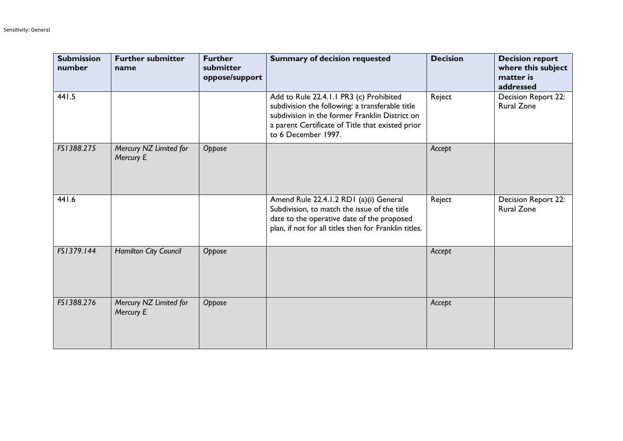| <b>Submission</b><br>number | <b>Further submitter</b><br>name    | <b>Further</b><br>submitter<br>oppose/support | <b>Summary of decision requested</b>                                                                                                                                                                                    | <b>Decision</b> | <b>Decision report</b><br>where this subject<br>matter is<br>addressed |
|-----------------------------|-------------------------------------|-----------------------------------------------|-------------------------------------------------------------------------------------------------------------------------------------------------------------------------------------------------------------------------|-----------------|------------------------------------------------------------------------|
| 441.5                       |                                     |                                               | Add to Rule 22.4.1.1 PR3 (c) Prohibited<br>subdivision the following: a transferable title<br>subdivision in the former Franklin District on<br>a parent Certificate of Title that existed prior<br>to 6 December 1997. | Reject          | Decision Report 22:<br><b>Rural Zone</b>                               |
| FS1388.275                  | Mercury NZ Limited for<br>Mercury E | Oppose                                        |                                                                                                                                                                                                                         | Accept          |                                                                        |
| 441.6                       |                                     |                                               | Amend Rule 22.4.1.2 RD1 (a)(i) General<br>Subdivision, to match the issue of the title<br>date to the operative date of the proposed<br>plan, if not for all titles then for Franklin titles.                           | Reject          | Decision Report 22:<br><b>Rural Zone</b>                               |
| FS1379.144                  | Hamilton City Council               | Oppose                                        |                                                                                                                                                                                                                         | Accept          |                                                                        |
| FS1388.276                  | Mercury NZ Limited for<br>Mercury E | Oppose                                        |                                                                                                                                                                                                                         | Accept          |                                                                        |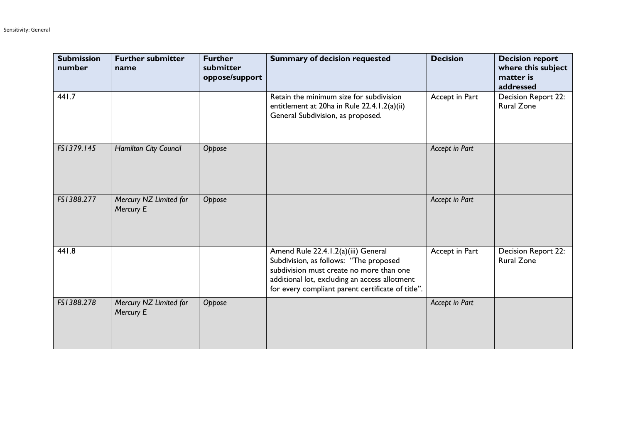| <b>Submission</b><br>number | <b>Further submitter</b><br>name    | <b>Further</b><br>submitter<br>oppose/support | <b>Summary of decision requested</b>                                                                                                                                                                                            | <b>Decision</b> | <b>Decision report</b><br>where this subject<br>matter is<br>addressed |
|-----------------------------|-------------------------------------|-----------------------------------------------|---------------------------------------------------------------------------------------------------------------------------------------------------------------------------------------------------------------------------------|-----------------|------------------------------------------------------------------------|
| 441.7                       |                                     |                                               | Retain the minimum size for subdivision<br>entitlement at 20ha in Rule 22.4.1.2(a)(ii)<br>General Subdivision, as proposed.                                                                                                     | Accept in Part  | Decision Report 22:<br><b>Rural Zone</b>                               |
| FS1379.145                  | Hamilton City Council               | Oppose                                        |                                                                                                                                                                                                                                 | Accept in Part  |                                                                        |
| FS1388.277                  | Mercury NZ Limited for<br>Mercury E | Oppose                                        |                                                                                                                                                                                                                                 | Accept in Part  |                                                                        |
| 441.8                       |                                     |                                               | Amend Rule 22.4.1.2(a)(iii) General<br>Subdivision, as follows: "The proposed<br>subdivision must create no more than one<br>additional lot, excluding an access allotment<br>for every compliant parent certificate of title". | Accept in Part  | Decision Report 22:<br><b>Rural Zone</b>                               |
| FS1388.278                  | Mercury NZ Limited for<br>Mercury E | Oppose                                        |                                                                                                                                                                                                                                 | Accept in Part  |                                                                        |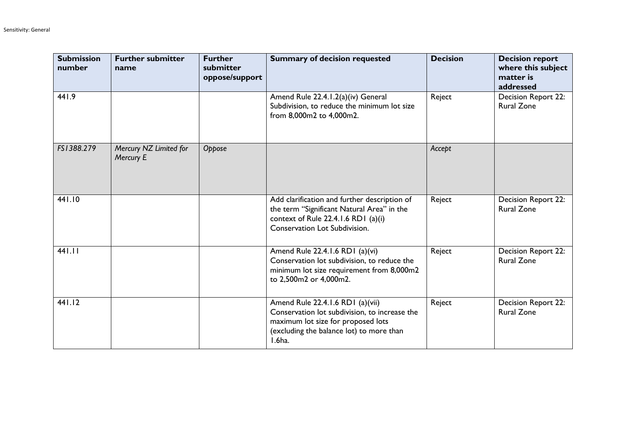| <b>Submission</b><br>number | <b>Further submitter</b><br>name    | <b>Further</b><br>submitter<br>oppose/support | <b>Summary of decision requested</b>                                                                                                                                          | <b>Decision</b> | <b>Decision report</b><br>where this subject<br>matter is<br>addressed |
|-----------------------------|-------------------------------------|-----------------------------------------------|-------------------------------------------------------------------------------------------------------------------------------------------------------------------------------|-----------------|------------------------------------------------------------------------|
| 441.9                       |                                     |                                               | Amend Rule 22.4.1.2(a)(iv) General<br>Subdivision, to reduce the minimum lot size<br>from 8,000m2 to 4,000m2.                                                                 | Reject          | Decision Report 22:<br><b>Rural Zone</b>                               |
| FS1388.279                  | Mercury NZ Limited for<br>Mercury E | Oppose                                        |                                                                                                                                                                               | Accept          |                                                                        |
| 441.10                      |                                     |                                               | Add clarification and further description of<br>the term "Significant Natural Area" in the<br>context of Rule 22.4.1.6 RD1 (a)(i)<br>Conservation Lot Subdivision.            | Reject          | Decision Report 22:<br><b>Rural Zone</b>                               |
| 441.11                      |                                     |                                               | Amend Rule 22.4.1.6 RD1 (a)(vi)<br>Conservation lot subdivision, to reduce the<br>minimum lot size requirement from 8,000m2<br>to 2,500m2 or 4,000m2.                         | Reject          | <b>Decision Report 22:</b><br><b>Rural Zone</b>                        |
| 441.12                      |                                     |                                               | Amend Rule 22.4.1.6 RD1 (a)(vii)<br>Conservation lot subdivision, to increase the<br>maximum lot size for proposed lots<br>(excluding the balance lot) to more than<br>I.6ha. | Reject          | Decision Report 22:<br><b>Rural Zone</b>                               |